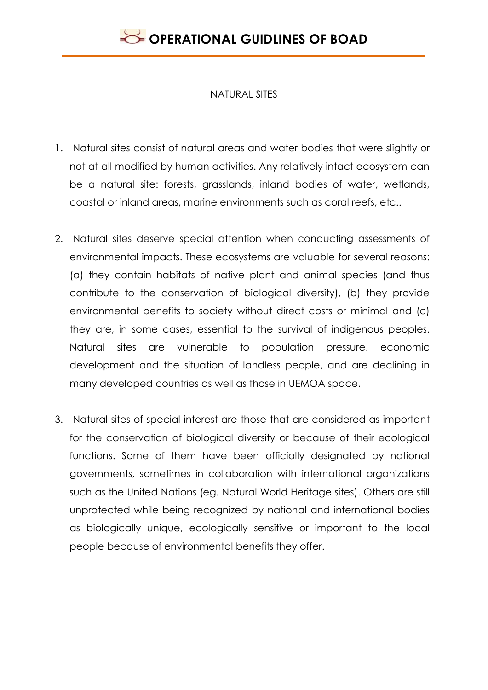#### NATURAL SITES

- 1. Natural sites consist of natural areas and water bodies that were slightly or not at all modified by human activities. Any relatively intact ecosystem can be a natural site: forests, grasslands, inland bodies of water, wetlands, coastal or inland areas, marine environments such as coral reefs, etc..
- 2. Natural sites deserve special attention when conducting assessments of environmental impacts. These ecosystems are valuable for several reasons: (a) they contain habitats of native plant and animal species (and thus contribute to the conservation of biological diversity), (b) they provide environmental benefits to society without direct costs or minimal and (c) they are, in some cases, essential to the survival of indigenous peoples. Natural sites are vulnerable to population pressure, economic development and the situation of landless people, and are declining in many developed countries as well as those in UEMOA space.
- 3. Natural sites of special interest are those that are considered as important for the conservation of biological diversity or because of their ecological functions. Some of them have been officially designated by national governments, sometimes in collaboration with international organizations such as the United Nations (eg. Natural World Heritage sites). Others are still unprotected while being recognized by national and international bodies as biologically unique, ecologically sensitive or important to the local people because of environmental benefits they offer.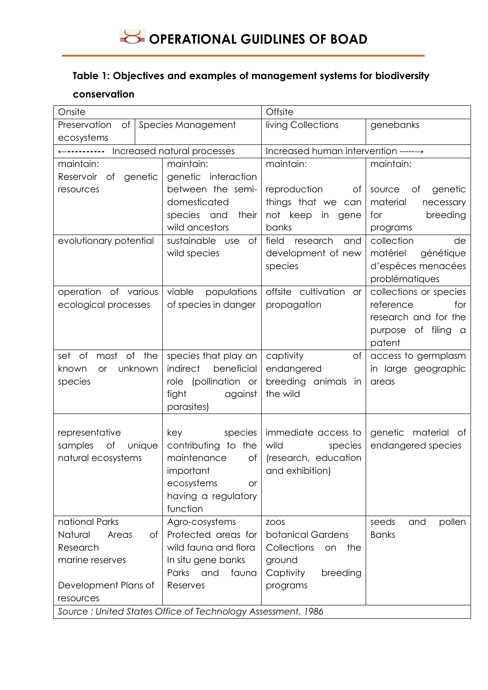### **Table 1: Objectives and examples of management systems for biodiversity**

#### **conservation**

| Onsite                                                      |                                          | Offsite                              |                         |
|-------------------------------------------------------------|------------------------------------------|--------------------------------------|-------------------------|
| Preservation<br>Оf                                          | Species Management                       | living Collections                   | genebanks               |
| ecosystems                                                  |                                          |                                      |                         |
| Increased natural processes<br>←----------                  |                                          | Increased human intervention ------> |                         |
| maintain:                                                   | maintain:                                | maintain:                            | maintain:               |
| genetic<br>Reservoir of                                     | genetic interaction                      |                                      |                         |
| resources                                                   | between the semi-                        | reproduction<br>Оf                   | genetic<br>source<br>Оf |
|                                                             | domesticated                             | things that we can                   | material<br>necessary   |
|                                                             | species and<br>their                     | not keep<br>in gene                  | breeding<br>for         |
|                                                             | wild ancestors                           | banks                                | programs                |
| evolutionary potential                                      | sustainable use<br>of                    | field<br>research<br>and             | collection<br>de        |
|                                                             | wild species                             | development of new                   | matériel<br>génétique   |
|                                                             |                                          | species                              | d'espèces menacées      |
|                                                             |                                          |                                      | problématiques          |
| operation of various                                        | viable<br>populations                    | offsite cultivation<br><b>or</b>     | collections or species  |
| ecological processes                                        | of species in danger                     | propagation                          | reference<br>for        |
|                                                             |                                          |                                      | research and for the    |
|                                                             |                                          |                                      | purpose of filing a     |
|                                                             |                                          |                                      | patent                  |
| most of the<br>set<br>of                                    | species that play an                     | captivity<br>of                      | access to germplasm     |
| unknown<br>known<br><b>or</b>                               | indirect<br>beneficial                   | endangered                           | in large geographic     |
| species                                                     | role (pollination or                     | breeding animals in                  | areas                   |
|                                                             | fight<br>against                         | the wild                             |                         |
|                                                             | parasites)                               |                                      |                         |
|                                                             |                                          | immediate access to                  |                         |
| representative                                              | species<br>key                           | wild                                 | genetic material of     |
| samples<br>of<br>unique<br>natural ecosystems               | contributing to the<br>maintenance<br>Оf | species<br>(research, education      | endangered species      |
|                                                             | important                                | and exhibition)                      |                         |
|                                                             |                                          |                                      |                         |
|                                                             | ecosystems<br>or                         |                                      |                         |
|                                                             | having a regulatory<br>function          |                                      |                         |
| national Parks                                              | Agro-cosystems                           | ZOOS                                 | seeds<br>and<br>pollen  |
| Natural<br>Areas<br>Оf                                      | Protected areas for                      | botanical Gardens                    | <b>Banks</b>            |
| Research                                                    | wild fauna and flora                     | Collections<br>the<br>on             |                         |
| marine reserves                                             | In situ gene banks                       | ground                               |                         |
|                                                             | Parks and<br>fauna                       | Captivity<br>breeding                |                         |
| Development Plans of                                        | Reserves                                 | programs                             |                         |
| resources                                                   |                                          |                                      |                         |
| Source: United States Office of Technology Assessment, 1986 |                                          |                                      |                         |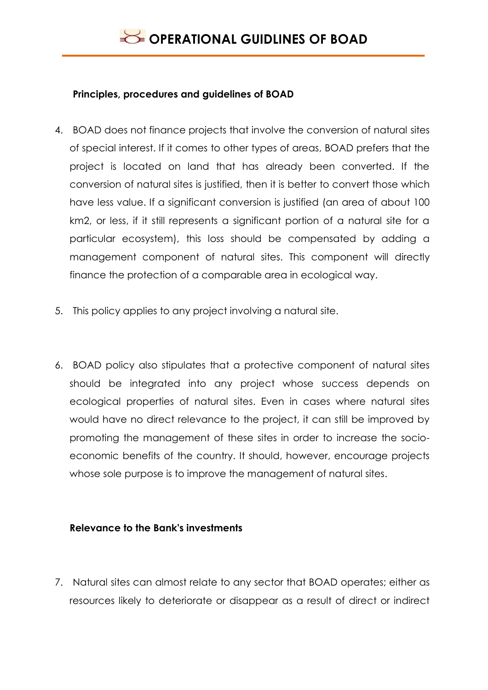### **Principles, procedures and guidelines of BOAD**

- 4. BOAD does not finance projects that involve the conversion of natural sites of special interest. If it comes to other types of areas, BOAD prefers that the project is located on land that has already been converted. If the conversion of natural sites is justified, then it is better to convert those which have less value. If a significant conversion is justified (an area of about 100 km2, or less, if it still represents a significant portion of a natural site for a particular ecosystem), this loss should be compensated by adding a management component of natural sites. This component will directly finance the protection of a comparable area in ecological way.
- 5. This policy applies to any project involving a natural site.
- 6. BOAD policy also stipulates that a protective component of natural sites should be integrated into any project whose success depends on ecological properties of natural sites. Even in cases where natural sites would have no direct relevance to the project, it can still be improved by promoting the management of these sites in order to increase the socioeconomic benefits of the country. It should, however, encourage projects whose sole purpose is to improve the management of natural sites.

### **Relevance to the Bank's investments**

7. Natural sites can almost relate to any sector that BOAD operates; either as resources likely to deteriorate or disappear as a result of direct or indirect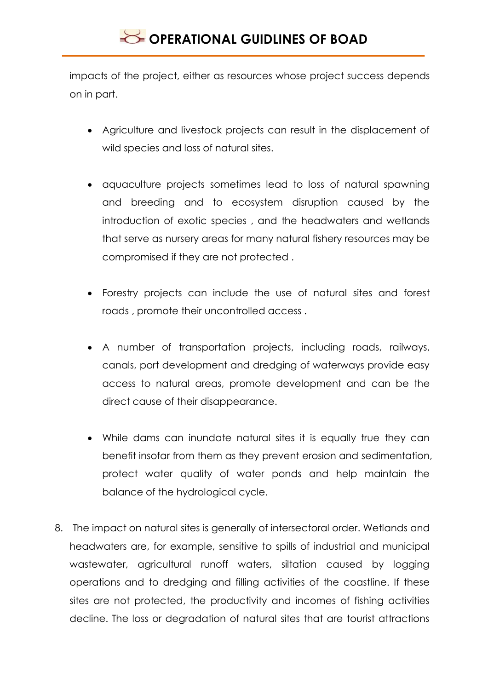impacts of the project, either as resources whose project success depends on in part.

- Agriculture and livestock projects can result in the displacement of wild species and loss of natural sites.
- aquaculture projects sometimes lead to loss of natural spawning and breeding and to ecosystem disruption caused by the introduction of exotic species , and the headwaters and wetlands that serve as nursery areas for many natural fishery resources may be compromised if they are not protected .
- Forestry projects can include the use of natural sites and forest roads , promote their uncontrolled access .
- A number of transportation projects, including roads, railways, canals, port development and dredging of waterways provide easy access to natural areas, promote development and can be the direct cause of their disappearance.
- While dams can inundate natural sites it is equally true they can benefit insofar from them as they prevent erosion and sedimentation, protect water quality of water ponds and help maintain the balance of the hydrological cycle.
- 8. The impact on natural sites is generally of intersectoral order. Wetlands and headwaters are, for example, sensitive to spills of industrial and municipal wastewater, agricultural runoff waters, siltation caused by logging operations and to dredging and filling activities of the coastline. If these sites are not protected, the productivity and incomes of fishing activities decline. The loss or degradation of natural sites that are tourist attractions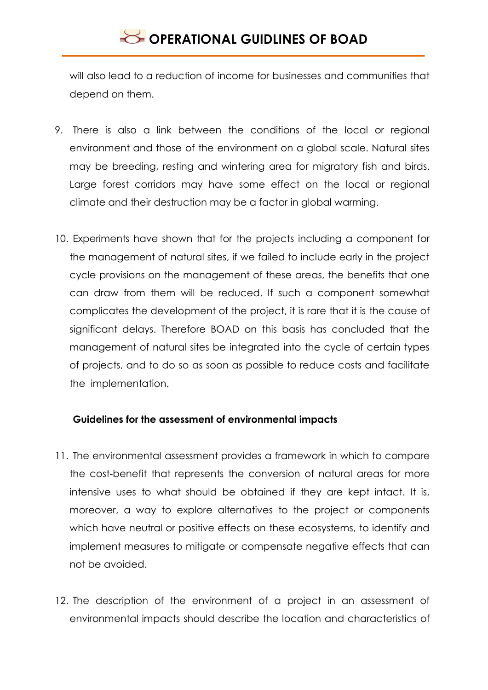will also lead to a reduction of income for businesses and communities that depend on them.

- 9. There is also a link between the conditions of the local or regional environment and those of the environment on a global scale. Natural sites may be breeding, resting and wintering area for migratory fish and birds. Large forest corridors may have some effect on the local or regional climate and their destruction may be a factor in global warming.
- 10. Experiments have shown that for the projects including a component for the management of natural sites, if we failed to include early in the project cycle provisions on the management of these areas, the benefits that one can draw from them will be reduced. If such a component somewhat complicates the development of the project, it is rare that it is the cause of significant delays. Therefore BOAD on this basis has concluded that the management of natural sites be integrated into the cycle of certain types of projects, and to do so as soon as possible to reduce costs and facilitate the implementation.

### **Guidelines for the assessment of environmental impacts**

- 11. The environmental assessment provides a framework in which to compare the cost-benefit that represents the conversion of natural areas for more intensive uses to what should be obtained if they are kept intact. It is, moreover, a way to explore alternatives to the project or components which have neutral or positive effects on these ecosystems, to identify and implement measures to mitigate or compensate negative effects that can not be avoided.
- 12. The description of the environment of a project in an assessment of environmental impacts should describe the location and characteristics of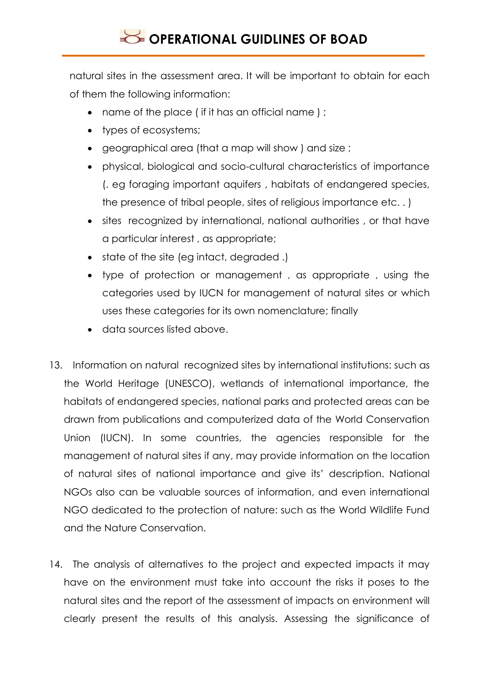natural sites in the assessment area. It will be important to obtain for each of them the following information:

- name of the place (if it has an official name);
- types of ecosystems;
- geographical area (that a map will show ) and size ;
- physical, biological and socio-cultural characteristics of importance (. eg foraging important aquifers , habitats of endangered species, the presence of tribal people, sites of religious importance etc. . )
- sites recognized by international, national authorities , or that have a particular interest , as appropriate;
- state of the site (eg intact, degraded .)
- type of protection or management , as appropriate , using the categories used by IUCN for management of natural sites or which uses these categories for its own nomenclature; finally
- data sources listed above.
- 13. Information on natural recognized sites by international institutions: such as the World Heritage (UNESCO), wetlands of international importance, the habitats of endangered species, national parks and protected areas can be drawn from publications and computerized data of the World Conservation Union (IUCN). In some countries, the agencies responsible for the management of natural sites if any, may provide information on the location of natural sites of national importance and give its' description. National NGOs also can be valuable sources of information, and even international NGO dedicated to the protection of nature: such as the World Wildlife Fund and the Nature Conservation.
- 14. The analysis of alternatives to the project and expected impacts it may have on the environment must take into account the risks it poses to the natural sites and the report of the assessment of impacts on environment will clearly present the results of this analysis. Assessing the significance of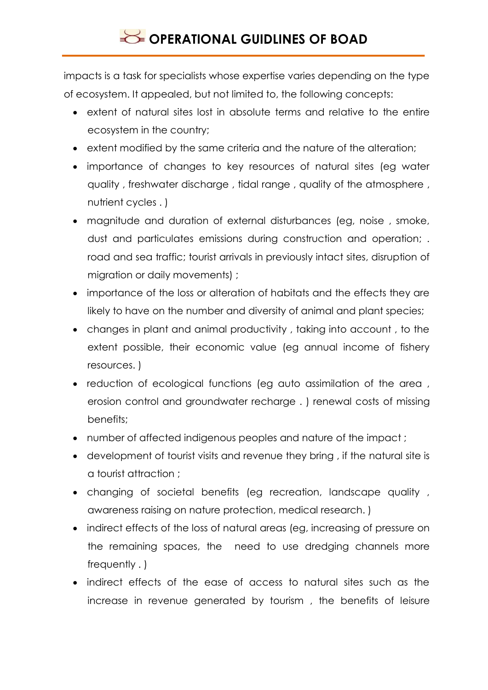impacts is a task for specialists whose expertise varies depending on the type of ecosystem. It appealed, but not limited to, the following concepts:

- extent of natural sites lost in absolute terms and relative to the entire ecosystem in the country;
- extent modified by the same criteria and the nature of the alteration;
- importance of changes to key resources of natural sites (eg water quality , freshwater discharge , tidal range , quality of the atmosphere , nutrient cycles . )
- magnitude and duration of external disturbances (eg, noise , smoke, dust and particulates emissions during construction and operation; . road and sea traffic; tourist arrivals in previously intact sites, disruption of migration or daily movements) ;
- importance of the loss or alteration of habitats and the effects they are likely to have on the number and diversity of animal and plant species;
- changes in plant and animal productivity , taking into account , to the extent possible, their economic value (eg annual income of fishery resources. )
- reduction of ecological functions (eg auto assimilation of the area , erosion control and groundwater recharge . ) renewal costs of missing benefits;
- number of affected indigenous peoples and nature of the impact ;
- development of tourist visits and revenue they bring , if the natural site is a tourist attraction ;
- changing of societal benefits (eg recreation, landscape quality , awareness raising on nature protection, medical research. )
- indirect effects of the loss of natural areas (eg, increasing of pressure on the remaining spaces, the need to use dredging channels more frequently . )
- indirect effects of the ease of access to natural sites such as the increase in revenue generated by tourism , the benefits of leisure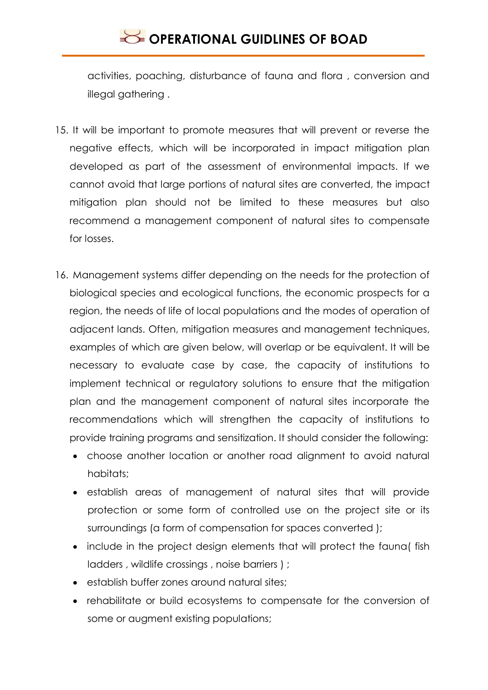activities, poaching, disturbance of fauna and flora , conversion and illegal gathering .

- 15. It will be important to promote measures that will prevent or reverse the negative effects, which will be incorporated in impact mitigation plan developed as part of the assessment of environmental impacts. If we cannot avoid that large portions of natural sites are converted, the impact mitigation plan should not be limited to these measures but also recommend a management component of natural sites to compensate for losses.
- 16. Management systems differ depending on the needs for the protection of biological species and ecological functions, the economic prospects for a region, the needs of life of local populations and the modes of operation of adjacent lands. Often, mitigation measures and management techniques, examples of which are given below, will overlap or be equivalent. It will be necessary to evaluate case by case, the capacity of institutions to implement technical or regulatory solutions to ensure that the mitigation plan and the management component of natural sites incorporate the recommendations which will strengthen the capacity of institutions to provide training programs and sensitization. It should consider the following:
	- choose another location or another road alignment to avoid natural habitats:
	- establish areas of management of natural sites that will provide protection or some form of controlled use on the project site or its surroundings (a form of compensation for spaces converted );
	- include in the project design elements that will protect the fauna( fish ladders , wildlife crossings , noise barriers ) ;
	- establish buffer zones around natural sites;
	- rehabilitate or build ecosystems to compensate for the conversion of some or augment existing populations;